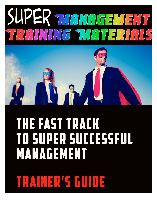## SUPER WANNAEMEN ROUNDO TVOTERINI

## **THE FAST TRACK** TO SUPER SUCCESSFUL MANAGEMENT

TRAINER'S GUIDE

© 2014 Wynn Solutions. 1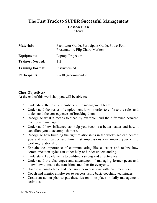## **The Fast Track to SUPER Successful Management Lesson Plan**

6 hours

| <b>Materials:</b>       | Facilitator Guide, Participant Guide, PowerPoint<br>Presentation, Flip Chart, Markers |
|-------------------------|---------------------------------------------------------------------------------------|
| <b>Equipment:</b>       | Laptop, Projector                                                                     |
| <b>Trainers Needed:</b> | $1 - 2$                                                                               |
| <b>Training Format:</b> | Instructor-led                                                                        |
| Participants:           | 25-30 (recommended)                                                                   |

## **Class Objectives***:*

At the end of this workshop you will be able to:

- Understand the role of members of the management team.
- Understand the basics of employment laws in order to enforce the rules and understand the consequences of breaking them.
- Recognize what it means to "lead by example" and the difference between leading and managing.
- Understand how influence can help you become a better leader and how it can allow you to accomplish more.
- Recognize how building the right relationships in the workplace can benefit you and your career and how first impressions can impact your entire working relationship.
- Explain the importance of communicating like a leader and realize how communication styles can either help or hinder understanding.
- Understand key elements to building a strong and effective team.
- Understand the challenges and advantages of managing former peers and know how to make the transition smoother for everyone.
- Handle uncomfortable and necessary conversations with team members.
- Coach and mentor employees to success using basic coaching techniques.
- Create an action plan to put these lessons into place in daily management activities.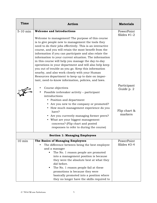| Time             | <b>Action</b>                                                                                                                                                                                                                                                                                                                                                                                                                                                                                                                                                                                                                                                                        | <b>Materials</b>                                        |
|------------------|--------------------------------------------------------------------------------------------------------------------------------------------------------------------------------------------------------------------------------------------------------------------------------------------------------------------------------------------------------------------------------------------------------------------------------------------------------------------------------------------------------------------------------------------------------------------------------------------------------------------------------------------------------------------------------------|---------------------------------------------------------|
| $5-10$ min       | <b>Welcome and Introductions</b>                                                                                                                                                                                                                                                                                                                                                                                                                                                                                                                                                                                                                                                     | PowerPoint<br>Slides $#1-2$                             |
|                  | Welcome to management! The purpose of this course<br>is to give people new to management the tools they<br>need to do their jobs effectively. This is an interactive<br>course, and you will retain the most benefit from the<br>information if you can participate and also relate the<br>information to your current situation. The information<br>in this course will help you manage the day-to-day<br>operations in your department and will also help keep<br>you out of trouble as you go. Keep this information<br>nearby, and also work closely with your Human<br>Resources department to keep up to date on impor-<br>tant, need-to-know information, policies, and laws. |                                                         |
|                  | Course objectives<br>Possible icebreaker activity – participant<br>introductions<br>• Position and department<br>• Are you new to the company or promoted?<br>• How much management experience do you<br>have?<br>• Are you currently managing former peers?<br>• What are your biggest management<br>concerns? (Flip chart and posted<br>responses to refer to during the course)                                                                                                                                                                                                                                                                                                   | Participant<br>Guide p. 2<br>Flip chart $\&$<br>markers |
|                  | <b>Section 1: Managing Employees</b>                                                                                                                                                                                                                                                                                                                                                                                                                                                                                                                                                                                                                                                 |                                                         |
| $10 \text{ min}$ | The Basics of Managing Employees<br>The difference between being the best employee<br>٠<br>and a manager<br>The No. 1 reason people are promoted<br>٠<br>into a management position is because<br>they were the absolute best at what they<br>did before.<br>The No. 1 reason people fail at these<br>٠<br>promotions is because they were<br>basically promoted into a position where<br>they no longer have the skills required to                                                                                                                                                                                                                                                 | PowerPoint<br>Slides $#3-4$                             |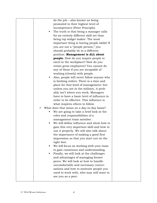| do the job - also known as being            |  |
|---------------------------------------------|--|
| promoted to their highest level of          |  |
| incompetence (Peter Principle).             |  |
| The truth is that being a manager calls     |  |
| for an entirely different skill set than    |  |
| being top widget maker. The most            |  |
| important thing is having people skills! If |  |
| you are not a "people person," you          |  |
| should probably be in a different           |  |
| position. Management is ALL about           |  |
| <b>people.</b> How do you inspire people to |  |
| excel in the workplace? How do you          |  |
| retain great employees? You cannot do       |  |
| any of these if you are incapable of        |  |
| working (closely) with people.              |  |
| Also, people will never follow anyone who   |  |
| is barking orders. There is a time and      |  |
| place for that kind of management; but      |  |
| unless you are in the military, it prob-    |  |
| ably isn't where you work. Managers         |  |
| have to have a basic level of influence in  |  |
| order to be effective. This influence is    |  |
| what inspires others to follow.             |  |
| What does that mean on a day-to-day basis?  |  |
| We are going to take a brief look at the    |  |
| roles and responsibilities of a             |  |
| management team member.                     |  |
| We will define influence and show how to    |  |
| gain this very important skill and how to   |  |
| use it properly. We will also talk about    |  |
| the importance of making a good first       |  |
| impression so that you start out on the     |  |
| right foot.                                 |  |
| We will focus on working with your team     |  |
| to gain consensus and understanding.        |  |
| Finally, we will look at the challenges     |  |
| and advantages of managing former           |  |
| peers. We will look at how to handle        |  |
| uncomfortable and necessary conver-         |  |
| sations and how to motivate people you      |  |
| used to work with, who may still want to    |  |
| see you as a peer.                          |  |
|                                             |  |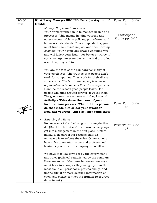| $20 - 30$ | What Every Manager SHOULD Know (to stay out of                                                                                                                                                                                                                                                                                                                                                                                                                                                                                                                                                 | PowerPoint Slide              |
|-----------|------------------------------------------------------------------------------------------------------------------------------------------------------------------------------------------------------------------------------------------------------------------------------------------------------------------------------------------------------------------------------------------------------------------------------------------------------------------------------------------------------------------------------------------------------------------------------------------------|-------------------------------|
| min       | trouble)                                                                                                                                                                                                                                                                                                                                                                                                                                                                                                                                                                                       | #5                            |
|           | <b>Manage People and Processes</b>                                                                                                                                                                                                                                                                                                                                                                                                                                                                                                                                                             |                               |
|           | Your primary function is to manage people and<br>processes. This means holding yourself and<br>others accountable to policies, procedures, and<br>behavioral standards. To accomplish this, you<br>must first know what they are and then lead by<br>example. Your people are always watching you<br>and will follow your lead for better or worse. If<br>you show up late every day with a bad attitude,<br>over time, they will too.                                                                                                                                                         | Participant<br>Guide pp. 3-11 |
|           | You are the face of the company for many of<br>your employees. The truth is that people don't<br>work for companies. They work for their direct<br>supervisors. The No. 1 reason people leave an<br>organization is because of their direct supervisor.<br>Don't be the reason good people leave. Bad<br>people will stick around forever, if we let them.<br>The good ones have options and they know it!<br>Activity - Write down the name of your<br>favorite manager ever. What did this person<br>do that made him or her your favorite?<br>Now, ask yourself - Am I at least doing that? | PowerPoint Slide<br>#6        |
|           | <b>Enforcing the Rules</b><br>No one wants to be the bad guy or maybe they<br>do! (Don't think that isn't the reason some people<br>got into management in the first place!) Unfortu-<br>nately, a big part of our responsibility as<br>managers is to enforce the rules. Organizations<br>have rules to maintain order and professsional<br>business practices; this company is no different.                                                                                                                                                                                                 | PowerPoint Slide<br>#7        |
|           | We have to follow laws set by the government<br>and rules (policies) established by the company.<br>Here are some of the most important employ-<br>ment laws to know, as they will get you in the<br>most trouble - personally, professionally, and<br>financially! (For more detailed information on<br>each law, please contact the Human Resources<br>department.)                                                                                                                                                                                                                          |                               |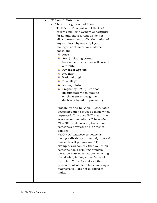| HR Laws & Duty to Act                                 |  |
|-------------------------------------------------------|--|
| $\checkmark$ The Civil Rights Act of 1964             |  |
| <b>Title VII</b> – This portion of the CRA<br>$\circ$ |  |
| covers equal employment opportunity                   |  |
| for all and ensures that we do not                    |  |
| allow harassment or discrimination of                 |  |
| any employee by any employee,                         |  |
| manager, contractor, or customer                      |  |
| based on:                                             |  |
| $\leftarrow$ Race                                     |  |
| $\overline{\phantom{a}}$ Sex (including sexual        |  |
| harassment, which we will cover in                    |  |
| a minute)                                             |  |
| $\overline{4}$ Age (over age 40)                      |  |
| $\textcolor{red}{\bullet}$ Religion*                  |  |
| $\frac{1}{\sqrt{2}}$ National origin                  |  |
| $\overline{\phantom{a}}$ Disability*                  |  |
| $\frac{1}{\sqrt{2}}$ Military status                  |  |
| $\textcolor{red}{\bullet}$ Pregnancy (1993) – cannot  |  |
| discriminate when making                              |  |
| employment or assignment                              |  |
| decisions based on pregnancy.                         |  |
| *Disability and Religion – Reasonable                 |  |
| accommodations must be made when                      |  |
| requested. This does NOT mean that                    |  |
| every accommodation will be made.                     |  |
| <i>**Do NOT make assumptions about</i>                |  |
| someone's physical and/or mental                      |  |
| abilities.                                            |  |
| **DO NOT diagnose someone as                          |  |
| having a disability or mental/physical                |  |
| illness. It will get you sued! For                    |  |
| example, you can say that you think                   |  |
| someone has a drinking problem                        |  |
| based on your observations (smelling                  |  |
| like alcohol, failing a drug/alcohol                  |  |
| test, etc.). You CANNOT call the                      |  |
| person an alcoholic. This is making a                 |  |
| diagnosis you are not qualified to                    |  |
| make.                                                 |  |
|                                                       |  |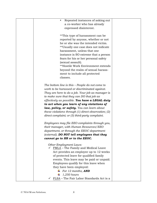| Repeated instances of asking out<br>$\bullet$            |  |
|----------------------------------------------------------|--|
| a co-worker who has already                              |  |
| expressed disinterest.                                   |  |
|                                                          |  |
| **This type of harassment can be                         |  |
| reported by anyone, whether or not                       |  |
| he or she was the intended victim.                       |  |
| **Usually one case does not indicate                     |  |
| harassment, unless that one                              |  |
| instance is SO extreme that a person                     |  |
| fears for his or her personal safety                     |  |
| (sexual assault).                                        |  |
| **Hostile Work Environment extends                       |  |
| beyond the realm of sexual harass-                       |  |
| ment to include all protected                            |  |
| classes.                                                 |  |
|                                                          |  |
| The bottom line is this $-$ People do not come to        |  |
| work to be harassed or discriminated against.            |  |
| They are here to do a job. Your job as manager is        |  |
| to make sure that they can DO that job as                |  |
| effectively as possible. You have a LEGAL duty           |  |
| to act when you learn of any violations of               |  |
| law, policy, or safety. You can learn about              |  |
| these violations through $(1)$ direct observation; $(2)$ |  |
| direct complaint; or (3) third-party complaint.          |  |
|                                                          |  |
| Employees may file EEO complaints through you,           |  |
| their manager, with Human Resources/EEO                  |  |
| department, or through the EEOC department               |  |
| (external). DO NOT tell employees that they              |  |
| cannot go to HR or to the EEOC.                          |  |
| Other Employment Laws:                                   |  |
| $\checkmark$ FMLA – The Family and Medical Leave         |  |
| Act provides an employee up to 12 weeks                  |  |
| of protected leave for qualified family                  |  |
| events. This leave may be paid or unpaid.                |  |
| Employees qualify for this leave when                    |  |
| they have been employed:                                 |  |
| For 12 months, AND                                       |  |
| 1,250 hours                                              |  |
| $\checkmark$ FLSA – The Fair Labor Standards Act is a    |  |
|                                                          |  |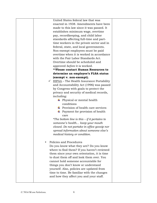| United States federal law that was                       |  |
|----------------------------------------------------------|--|
| enacted in 1938. Amendments have been                    |  |
|                                                          |  |
| made to this law since it was passed. It                 |  |
| establishes minimum wage, overtime                       |  |
| pay, recordkeeping, and child labor                      |  |
| standards affecting full-time and part-                  |  |
| time workers in the private sector and in                |  |
| federal, state, and local governments.                   |  |
| Non-exempt employees must be paid                        |  |
| overtime when it is worked in accordance                 |  |
| with the Fair Labor Standards Act.                       |  |
| Overtime should be scheduled and                         |  |
| approved <i>before</i> it is worked.                     |  |
| <b>**Please contact Human Resources to</b>               |  |
| determine an employee's FLSA status                      |  |
| (exempt v. non-exempt).                                  |  |
| $\checkmark$ HIPAA – The Health Insurance Portability    |  |
| and Accountability Act (1996) was passed                 |  |
| by Congress with goals to protect the                    |  |
| privacy and security of medical records,                 |  |
| including:                                               |  |
| $\overline{\phantom{a}}$ Physical or mental health       |  |
| conditions                                               |  |
| $\downarrow$ Provision of health care services           |  |
| $\overline{\phantom{a}}$ Payment for provision of health |  |
| care                                                     |  |
| <i>*The bottom line is this – if it pertains to</i>      |  |
| someone's health keep your mouth                         |  |
| closed. Do not partake in office gossip nor              |  |
| spread information about someone else's                  |  |
| medical history or condition.                            |  |
|                                                          |  |
| Policies and Procedures                                  |  |
| Do you know what they are? Do you know                   |  |
| where to find them? If you haven't reviewed              |  |
| them since your own orientation, it is time              |  |
| to dust them off and look them over. You                 |  |
| cannot hold someone accountable for                      |  |
| things you don't know or understand                      |  |
| yourself. Also, policies are updated from                |  |
| time to time. Be familiar with the changes               |  |
| and how they affect you and your staff.                  |  |
|                                                          |  |
|                                                          |  |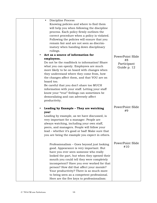| Discipline Process<br>$\bullet$<br>Knowing policies and where to find them<br>will help you when following the discipline<br>process. Each policy firmly outlines the<br>correct procedure when a policy is violated.<br>Following the policies will ensure that you<br>remain fair and are not seen as discrim-<br>inatory when handing down disciplinary<br>rulings.<br>Act as a source of information for<br>employees.<br>Do not be the roadblock to information! Share<br>what you can openly. Employees are much<br>more likely to be on board with changes when<br>they understand where they come from, how<br>the changes affect them, and that YOU are on<br>board too.<br>Be careful that you don't share too MUCH<br>information with your staff. Letting your staff<br>know your "true" feelings can sometimes be | PowerPoint Slide<br>#8<br>Participant<br>Guide p. 12 |
|--------------------------------------------------------------------------------------------------------------------------------------------------------------------------------------------------------------------------------------------------------------------------------------------------------------------------------------------------------------------------------------------------------------------------------------------------------------------------------------------------------------------------------------------------------------------------------------------------------------------------------------------------------------------------------------------------------------------------------------------------------------------------------------------------------------------------------|------------------------------------------------------|
| demoralizing and can adversely affect<br>productivity.<br>Leading by Example - They are watching                                                                                                                                                                                                                                                                                                                                                                                                                                                                                                                                                                                                                                                                                                                               | PowerPoint Slide<br>#9                               |
| you!<br>Leading by example, as we have discussed, is<br>very important for a manager. People are<br>always watching, including your own staff,<br>peers, and managers. People will follow your<br>lead – whether it's good or bad! Make sure that<br>you are being the example you expect in others.                                                                                                                                                                                                                                                                                                                                                                                                                                                                                                                           |                                                      |
| Professionalism - Goes beyond just looking<br>good. Appearance is very important. But<br>have you ever seen someone who really<br>looked the part, but when they opened their<br>mouth you could tell they were completely<br>incompetent? Have you ever worked for that<br>person? How did that affect your morale?<br>Your productivity? There is so much more<br>to being seen as a competent professional.<br>Here are the five keys to professionalism:                                                                                                                                                                                                                                                                                                                                                                   | PowerPoint Slide<br>#10                              |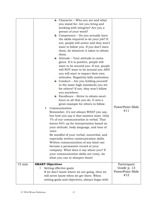| $15 \text{ min}$ | <b>SMART Objectives</b><br>Setting effective goals<br>If we don't know where we are going, then we<br>will never know when we get there. When<br>setting goals and objectives, always begin with                                                                                                                                                                                                                                                                                                                                                                                                                                                                                                                                                                                                                                                                                                                                                                                                                                                                                                                                                                                                                                                                                                                                                                                                                                                                                                   | Participant<br>Guide p. 13<br>PowerPoint Slide<br>#12 |
|------------------|----------------------------------------------------------------------------------------------------------------------------------------------------------------------------------------------------------------------------------------------------------------------------------------------------------------------------------------------------------------------------------------------------------------------------------------------------------------------------------------------------------------------------------------------------------------------------------------------------------------------------------------------------------------------------------------------------------------------------------------------------------------------------------------------------------------------------------------------------------------------------------------------------------------------------------------------------------------------------------------------------------------------------------------------------------------------------------------------------------------------------------------------------------------------------------------------------------------------------------------------------------------------------------------------------------------------------------------------------------------------------------------------------------------------------------------------------------------------------------------------------|-------------------------------------------------------|
|                  | Character - Who you are and what<br>you stand for. Are you living and<br>working with integrity? Are you a<br>person of your word?<br>$\overline{\phantom{a}}$ Competence – Do you actually have<br>the skills required to do your job? If<br>not, people will notice and they won't<br>want to follow you. If you don't have<br>them, do whatever it takes to obtain<br>them.<br>Attitude - Your attitude is conta-<br>gious. If it is positive, people will<br>want to be around you. If not, people<br>will NOT want to be around you AND<br>you will start to impact their own<br>attitudes. Negativity kills motivation.<br>$\overline{\phantom{a}}$ Conduct – Are you holding yourself<br>to the same high standards you set<br>for others? If not, they won't follow<br>you anywhere.<br>$\overline{\phantom{a}}$ Excellence – Strive to obtain excel-<br>lence in all that you do. It sets a<br>great example for others to follow.<br>Communication<br>Remember, it's not always WHAT you say,<br>but how you say it that matters most. Only<br>7% of our communication is verbal. That<br>leaves 93% up for interpretation based on<br>your attitude, body language, and tone of<br>voice.<br>Be mindful of your verbal, nonverbal, and<br>especially written communication skills.<br>Written communication of any kind can<br>become a permanent record at your<br>company. What does it say about you? If<br>your communication skills are rusty, do<br>what you can to sharpen them! | PowerPoint Slide<br>#11                               |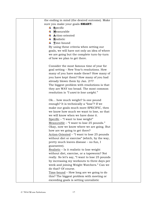| the ending in mind (the desired outcome). Make                                  |  |
|---------------------------------------------------------------------------------|--|
| sure you make your goals SMART:                                                 |  |
| $\frac{1}{2}$ Specific                                                          |  |
| Measurable                                                                      |  |
| <b>Action-oriented</b>                                                          |  |
| $\textcolor{red}{\blacksquare}$ Realistic                                       |  |
| Time-bound                                                                      |  |
| By using these criteria when setting our                                        |  |
| goals, we will have not only an idea of where                                   |  |
| we are going but the complete turn-by-turn                                      |  |
|                                                                                 |  |
| of how we plan to get there.                                                    |  |
| Consider the most famous time of year for                                       |  |
| goal setting - New Year's resolutions. How                                      |  |
| many of you have made these? How many of                                        |  |
|                                                                                 |  |
| you have kept them? How many of you had                                         |  |
| already blown them by Jan. 2nd?                                                 |  |
| The biggest problem with resolutions is that                                    |  |
| they are WAY too broad. The most common                                         |  |
| resolution is "I want to lose weight."                                          |  |
| Ok how much weight? Is one pound                                                |  |
| enough? It is technically a "loss"? If we                                       |  |
| make our goals much more SPECIFIC, then                                         |  |
|                                                                                 |  |
| we know how much we want to lose, so that<br>we will know when we have done it. |  |
|                                                                                 |  |
| Specific – "I want to lose weight"                                              |  |
| Measurable - "I want to lose 25 pounds."                                        |  |
| Okay, now we know where we are going. But                                       |  |
| how are we going to get there?                                                  |  |
| Action-Oriented – "I want to lose 25 pounds                                     |  |
| without diet or exercise" (which, by the way,                                   |  |
| pretty much leaves disease - no fun, I                                          |  |
| guarantee).                                                                     |  |
| Realistic – Is it realistic to lose weight                                      |  |
| without diet, exercise, or a tapeworm? Not                                      |  |
| really. So let's say, "I want to lose 25 pounds                                 |  |
| by increasing my workouts to three days per                                     |  |
| week and joining Weight Watchers." Can we                                       |  |
| do that? Of course.                                                             |  |
| Time-bound – How long are we going to do                                        |  |
| this? The biggest problem with meeting or                                       |  |
| exceeding goals is setting unrealistic                                          |  |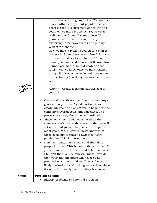|       | expectations. Am I going to lose 25 pounds<br>in a month? Perhaps, but popular medical<br>belief is that it is extremely unhealthy and<br>could cause more problems. So, we set a<br>realistic time frame. "I want to lose 25<br>pounds over the next 12 months by<br>exercising three days a week and joining<br>Weight Watchers."<br>Now we have a realistic goal AND a plan to<br>achieve it. From there we can break it down<br>into even smaller pieces. To lose 25 pounds<br>in one year, we need to lose a little over two<br>pounds per month. Is that doable? Abso-<br>lutely. Will we know once we have reached<br>our goal? If we own a scale and have taken<br>our beginning (baseline) measurement, then<br>yes.                                                                                                                                                                                                                                                                                  |  |
|-------|----------------------------------------------------------------------------------------------------------------------------------------------------------------------------------------------------------------------------------------------------------------------------------------------------------------------------------------------------------------------------------------------------------------------------------------------------------------------------------------------------------------------------------------------------------------------------------------------------------------------------------------------------------------------------------------------------------------------------------------------------------------------------------------------------------------------------------------------------------------------------------------------------------------------------------------------------------------------------------------------------------------|--|
|       | Activity – Create a sample SMART goal of<br>your own!<br>Goals and objectives come from the company's<br>goals and objectives. As a department, we<br>create our goals and objectives to help meet the<br>company's overall goals and objectives. The<br>process is exactly the same as I outlined.<br>Since departments set goals based on the<br>company goals, it stands to reason that we will<br>set individual goals to help meet the depart-<br>ment goals. We, of course, must know what<br>these goals are in order to help meet them.<br>(Again, don't block information.)<br>Don't set unattainable goals and then ding<br>$\bullet$<br>people for them! This is productivity murder. If<br>you are known to do this - and believe me when<br>I tell you that EVERYONE will know if you do -<br>then your staff members will never be as<br>productive as they could be. They will most<br>likely "retire-in-place" as long as possible, since<br>it wouldn't remotely matter if they tried or not. |  |
| 5 min | <b>Problem Solving</b><br>Identify problems or potential problems:                                                                                                                                                                                                                                                                                                                                                                                                                                                                                                                                                                                                                                                                                                                                                                                                                                                                                                                                             |  |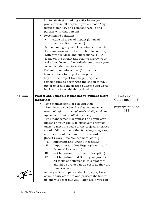|        | Utilize strategic thinking skills to analyze the                                                      |                  |
|--------|-------------------------------------------------------------------------------------------------------|------------------|
|        | problem from all angles. If you are not a "big-                                                       |                  |
|        | picture" thinker, find someone who is and                                                             |                  |
|        | partner with that person!                                                                             |                  |
|        | Recommend solutions<br>$\bullet$                                                                      |                  |
|        | Include all areas of impact (financial,                                                               |                  |
|        | human capital, time, etc.)                                                                            |                  |
|        | When looking at possible solutions, remember                                                          |                  |
|        | to brainstorm without restriction to come up                                                          |                  |
|        | with creative ideas and suggestions. THEN                                                             |                  |
|        | focus on the impact and reality; narrow your                                                          |                  |
|        | solutions down to the realistic, and make your                                                        |                  |
|        | recommendations for action.                                                                           |                  |
|        | Put solutions into action. (At this time it<br>٠                                                      |                  |
|        | transfers over to project management.)                                                                |                  |
|        | Lay out the project from beginning to end,                                                            |                  |
|        | remembering to begin with the end in mind. I                                                          |                  |
|        | prefer to create the desired outcome and work                                                         |                  |
|        | backwards to establish my timeline.                                                                   |                  |
|        |                                                                                                       |                  |
| 20 min | Project and Schedule Management (without micro-                                                       | Participant      |
|        |                                                                                                       |                  |
|        | managing)                                                                                             | Guide pp. 14-15  |
|        | Time management for self and staff                                                                    |                  |
|        | *First, let's remember that time management                                                           | PowerPoint Slide |
|        | does not refer to an employee's ability to show                                                       | #13              |
|        | up on time. That is called reliability.                                                               |                  |
|        | Time management for yourself and your staff                                                           |                  |
|        | hinges on your ability to effectively prioritize                                                      |                  |
|        | tasks to meet the goals of the project. Priorities                                                    |                  |
|        | should fall into one of the following categories,                                                     |                  |
|        | and they should be handled in this order:                                                             |                  |
|        | [Insert Covey Time Management Matrix]                                                                 |                  |
|        | Important and Urgent (Necessity)<br>Ι.                                                                |                  |
|        | II.<br>Important and Not Urgent (Quality and                                                          |                  |
|        | Personal Leadership)                                                                                  |                  |
|        | III.<br>Not Important but Urgent (Deception)                                                          |                  |
|        | IV.<br>Not Important and Not Urgent (Waste) –                                                         |                  |
|        | All tasks or activities in this quadrant                                                              |                  |
|        | should be avoided at all costs as they are                                                            |                  |
|        | time wasters.                                                                                         |                  |
|        | Activity – On a separate sheet of paper, list all<br>of your daily activities and projects (be honest |                  |